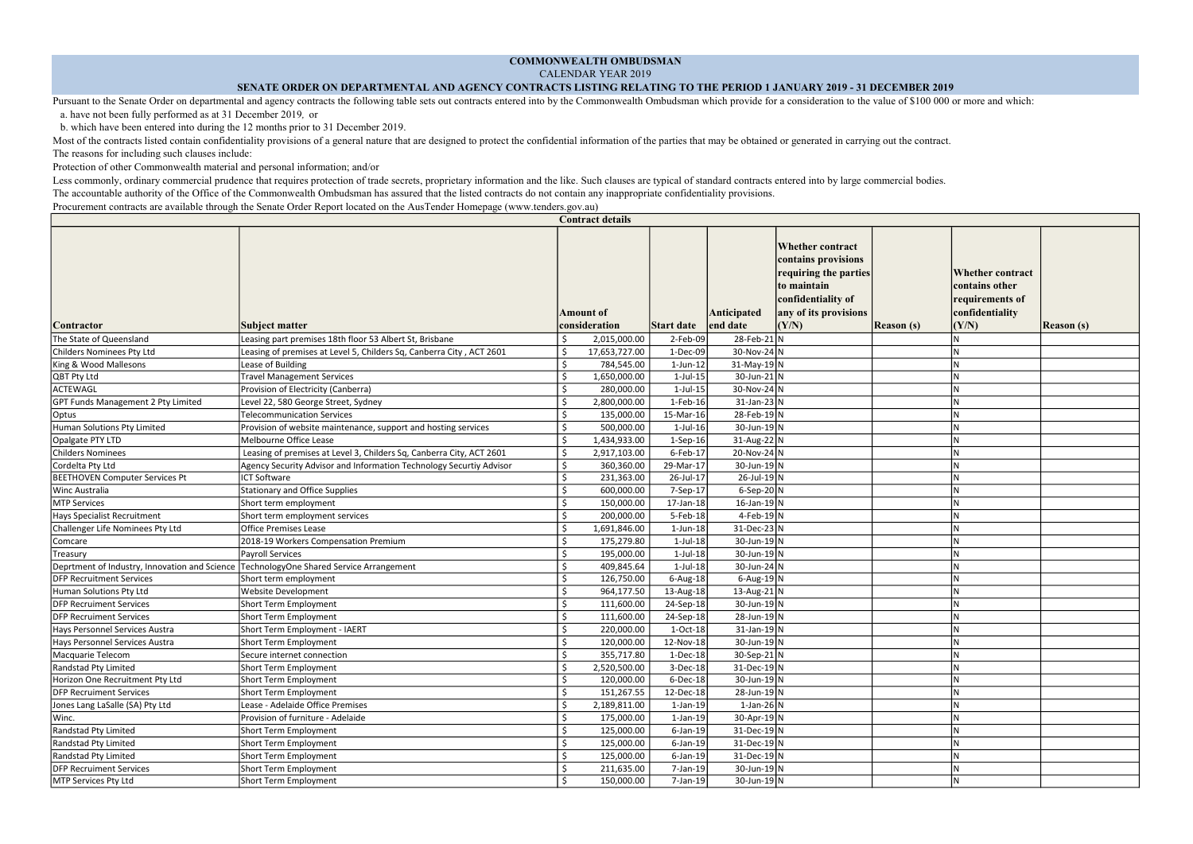Pursuant to the Senate Order on departmental and agency contracts the following table sets out contracts entered into by the Commonwealth Ombudsman which provide for a consideration to the value of \$100 000 or more and whi a. have not been fully performed as at 31 December 2019, or

Most of the contracts listed contain confidentiality provisions of a general nature that are designed to protect the confidential information of the parties that may be obtained or generated in carrying out the contract. The reasons for including such clauses include:

b. which have been entered into during the 12 months prior to 31 December 2019.

Less commonly, ordinary commercial prudence that requires protection of trade secrets, proprietary information and the like. Such clauses are typical of standard contracts entered into by large commercial bodies. The accountable authority of the Office of the Commonwealth Ombudsman has assured that the listed contracts do not contain any inappropriate confidentiality provisions.

Protection of other Commonwealth material and personal information; and/or

Procurement contracts are available through the Senate Order Report located on the AusTender Homepage (www.tenders.gov.au)

| <b>Contract details</b>                       |                                                                      |                                   |               |                |                         |                                                                                                                                                |                   |                                                                                          |                   |  |  |
|-----------------------------------------------|----------------------------------------------------------------------|-----------------------------------|---------------|----------------|-------------------------|------------------------------------------------------------------------------------------------------------------------------------------------|-------------------|------------------------------------------------------------------------------------------|-------------------|--|--|
| Contractor                                    | Subject matter                                                       | <b>Amount of</b><br>consideration |               | Start date     | Anticipated<br>end date | <b>Whether contract</b><br>contains provisions<br>requiring the parties<br>to maintain<br>confidentiality of<br>any of its provisions<br>(Y/N) | <b>Reason</b> (s) | <b>Whether contract</b><br>contains other<br>requirements of<br>confidentiality<br>(Y/N) | <b>Reason</b> (s) |  |  |
| The State of Queensland                       | Leasing part premises 18th floor 53 Albert St, Brisbane              |                                   | 2,015,000.00  | 2-Feb-09       | 28-Feb-21 N             |                                                                                                                                                |                   |                                                                                          |                   |  |  |
| Childers Nominees Pty Ltd                     | Leasing of premises at Level 5, Childers Sq, Canberra City, ACT 2601 |                                   | 17,653,727.00 | 1-Dec-09       | $30-Nov-24$ N           |                                                                                                                                                |                   |                                                                                          |                   |  |  |
| King & Wood Mallesons                         | Lease of Building                                                    |                                   | 784,545.00    | $1$ -Jun- $12$ | $31$ -May-19 N          |                                                                                                                                                |                   |                                                                                          |                   |  |  |
| QBT Pty Ltd                                   | <b>Travel Management Services</b>                                    |                                   | 1,650,000.00  | $1$ -Jul- $15$ | $30$ -Jun-21 N          |                                                                                                                                                |                   |                                                                                          |                   |  |  |
| ACTEWAGL                                      | Provision of Electricity (Canberra)                                  |                                   | 280,000.00    | $1$ -Jul- $15$ | 30-Nov-24 N             |                                                                                                                                                |                   |                                                                                          |                   |  |  |
| GPT Funds Management 2 Pty Limited            | Level 22, 580 George Street, Sydney                                  |                                   | 2,800,000.00  | 1-Feb-16       | $31$ -Jan-23 N          |                                                                                                                                                |                   |                                                                                          |                   |  |  |
| <b>Optus</b>                                  | <b>Telecommunication Services</b>                                    |                                   | 135,000.00    | 15-Mar-16      | 28-Feb-19N              |                                                                                                                                                |                   |                                                                                          |                   |  |  |
| Human Solutions Pty Limited                   | Provision of website maintenance, support and hosting services       |                                   | 500,000.00    | $1$ -Jul- $16$ | $30$ -Jun-19 N          |                                                                                                                                                |                   |                                                                                          |                   |  |  |
| Opalgate PTY LTD                              | Melbourne Office Lease                                               |                                   | 1,434,933.00  | $1-Sep-16$     | $31$ -Aug-22 N          |                                                                                                                                                |                   |                                                                                          |                   |  |  |
| Childers Nominees                             | Leasing of premises at Level 3, Childers Sq, Canberra City, ACT 2601 |                                   | 2,917,103.00  | 6-Feb-17       | $20-Nov-24$ N           |                                                                                                                                                |                   |                                                                                          |                   |  |  |
| Cordelta Pty Ltd                              | Agency Security Advisor and Information Technology Securtiy Advisor  |                                   | 360,360.00    | 29-Mar-17      | $30$ -Jun-19 N          |                                                                                                                                                |                   |                                                                                          |                   |  |  |
| <b>BEETHOVEN Computer Services Pt</b>         | ICT Software                                                         |                                   | 231,363.00    | 26-Jul-17      | $26$ -Jul-19 N          |                                                                                                                                                |                   |                                                                                          |                   |  |  |
| <b>Winc Australia</b>                         | <b>Stationary and Office Supplies</b>                                |                                   | 600,000.00    | 7-Sep-17       | $6-Sep-20$ N            |                                                                                                                                                |                   |                                                                                          |                   |  |  |
| <b>MTP Services</b>                           | Short term employment                                                |                                   | 150,000.00    | 17-Jan-18      | $16$ -Jan-19 N          |                                                                                                                                                |                   |                                                                                          |                   |  |  |
| Hays Specialist Recruitment                   | Short term employment services                                       |                                   | 200,000.00    | 5-Feb-18       | $4$ -Feb-19 N           |                                                                                                                                                |                   |                                                                                          |                   |  |  |
| Challenger Life Nominees Pty Ltd              | <b>Office Premises Lease</b>                                         |                                   | 1,691,846.00  | $1$ -Jun- $18$ | $31$ -Dec-23 N          |                                                                                                                                                |                   |                                                                                          |                   |  |  |
| Comcare                                       | 2018-19 Workers Compensation Premium                                 |                                   | 175,279.80    | $1$ -Jul- $18$ | $30$ -Jun-19 N          |                                                                                                                                                |                   |                                                                                          |                   |  |  |
| Treasury                                      | <b>Payroll Services</b>                                              |                                   | 195,000.00    | $1$ -Jul- $18$ | $30$ -Jun-19 N          |                                                                                                                                                |                   |                                                                                          |                   |  |  |
| Deprtment of Industry, Innovation and Science | TechnologyOne Shared Service Arrangement                             |                                   | 409,845.64    | $1$ -Jul- $18$ | 30-Jun-24 $\vert$ N     |                                                                                                                                                |                   |                                                                                          |                   |  |  |
| <b>DFP Recruitment Services</b>               | Short term employment                                                |                                   | 126,750.00    | $6$ -Aug-18    | $6$ -Aug-19 N           |                                                                                                                                                |                   |                                                                                          |                   |  |  |
| Human Solutions Pty Ltd                       | Website Development                                                  |                                   | 964,177.50    | $13$ -Aug-18   | 13-Aug-21 $ N $         |                                                                                                                                                |                   |                                                                                          |                   |  |  |
| <b>DFP Recruiment Services</b>                | Short Term Employment                                                |                                   | 111,600.00    | 24-Sep-18      | $30$ -Jun-19 N          |                                                                                                                                                |                   |                                                                                          |                   |  |  |
| <b>DFP Recruiment Services</b>                | Short Term Employment                                                |                                   | 111,600.00    | 24-Sep-18      | $28$ -Jun-19 N          |                                                                                                                                                |                   |                                                                                          |                   |  |  |
| Hays Personnel Services Austra                | Short Term Employment - IAERT                                        |                                   | 220,000.00    | 1-Oct-18       | $31$ -Jan-19 N          |                                                                                                                                                |                   |                                                                                          |                   |  |  |
| Hays Personnel Services Austra                | Short Term Employment                                                |                                   | 120,000.00    | 12-Nov-18      | $30$ -Jun-19 N          |                                                                                                                                                |                   |                                                                                          |                   |  |  |
| Macquarie Telecom                             | Secure internet connection                                           |                                   | 355,717.80    | 1-Dec-18       | 30-Sep-21 N             |                                                                                                                                                |                   |                                                                                          |                   |  |  |
| Randstad Pty Limited                          | Short Term Employment                                                |                                   | 2,520,500.00  | $3$ -Dec-18    | $31$ -Dec-19 N          |                                                                                                                                                |                   |                                                                                          |                   |  |  |
| Horizon One Recruitment Pty Ltd               | Short Term Employment                                                |                                   | 120,000.00    | 6-Dec-18       | $30$ -Jun-19 N          |                                                                                                                                                |                   |                                                                                          |                   |  |  |
| <b>DFP Recruiment Services</b>                | Short Term Employment                                                |                                   | 151,267.55    | 12-Dec-18      | 28-Jun-19 N             |                                                                                                                                                |                   |                                                                                          |                   |  |  |
| Jones Lang LaSalle (SA) Pty Ltd               | Lease - Adelaide Office Premises                                     |                                   | 2,189,811.00  | 1-Jan-19       | 1-Jan-26 $ N $          |                                                                                                                                                |                   |                                                                                          |                   |  |  |
| Winc.                                         | Provision of furniture - Adelaide                                    |                                   | 175,000.00    | 1-Jan-19       | $30-Apr-19$ N           |                                                                                                                                                |                   |                                                                                          |                   |  |  |
| Randstad Pty Limited                          | Short Term Employment                                                |                                   | 125,000.00    | 6-Jan-19       | $31$ -Dec-19 N          |                                                                                                                                                |                   |                                                                                          |                   |  |  |
| Randstad Pty Limited                          | Short Term Employment                                                |                                   | 125,000.00    | 6-Jan-19       | $31$ -Dec-19 N          |                                                                                                                                                |                   |                                                                                          |                   |  |  |
| Randstad Pty Limited                          | Short Term Employment                                                |                                   | 125,000.00    | 6-Jan-19       | $31$ -Dec-19 N          |                                                                                                                                                |                   |                                                                                          |                   |  |  |
| <b>DFP Recruiment Services</b>                | Short Term Employment                                                |                                   | 211,635.00    | 7-Jan-19       | $30$ -Jun-19 N          |                                                                                                                                                |                   |                                                                                          |                   |  |  |
| MTP Services Pty Ltd                          | Short Term Employment                                                | <sup>\$</sup>                     | 150,000.00    | 7-Jan-19       | $30$ -Jun-19 N          |                                                                                                                                                |                   |                                                                                          |                   |  |  |

CALENDAR YEAR 2019

## SENATE ORDER ON DEPARTMENTAL AND AGENCY CONTRACTS LISTING RELATING TO THE PERIOD 1 JANUARY 2019 - 31 DECEMBER 2019

## COMMONWEALTH OMBUDSMAN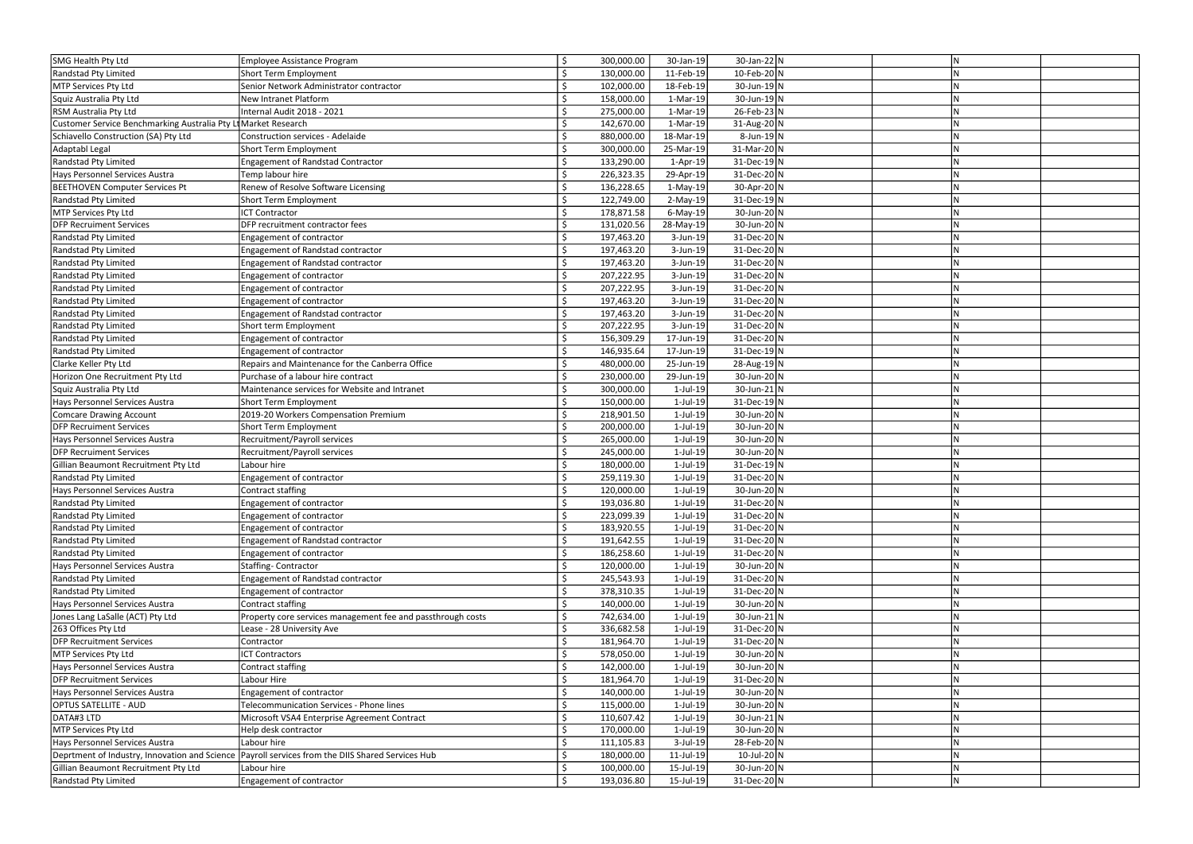| SMG Health Pty Ltd                                             | Employee Assistance Program                                                                        | 300,000.00 | 30-Jan-19      | $30$ -Jan-22 N  | ΙN |  |
|----------------------------------------------------------------|----------------------------------------------------------------------------------------------------|------------|----------------|-----------------|----|--|
| Randstad Pty Limited                                           | Short Term Employment                                                                              | 130,000.00 | 11-Feb-19      | $10$ -Feb-20 N  |    |  |
| MTP Services Pty Ltd                                           | Senior Network Administrator contractor                                                            | 102,000.00 | 18-Feb-19      | $30$ -Jun-19 N  |    |  |
| Squiz Australia Pty Ltd                                        | New Intranet Platform                                                                              | 158,000.00 | 1-Mar-19       | $30$ -Jun-19 N  |    |  |
| RSM Australia Pty Ltd                                          | Internal Audit 2018 - 2021                                                                         | 275,000.00 | 1-Mar-19       | 26-Feb-23 N     |    |  |
| Customer Service Benchmarking Australia Pty Lt Market Research |                                                                                                    | 142,670.00 | 1-Mar-19       | 31-Aug-20 N     |    |  |
| Schiavello Construction (SA) Pty Ltd                           | Construction services - Adelaide                                                                   | 880,000.00 | 18-Mar-19      | $8$ -Jun-19 N   |    |  |
| Adaptabl Legal                                                 | Short Term Employment                                                                              | 300,000.00 | 25-Mar-19      | 31-Mar-20 N     |    |  |
| Randstad Pty Limited                                           | <b>Engagement of Randstad Contractor</b>                                                           | 133,290.00 | $1-Apr-19$     | $31$ -Dec-19 N  |    |  |
| Hays Personnel Services Austra                                 | Temp labour hire                                                                                   | 226,323.35 | 29-Apr-19      | 31-Dec-20 N     |    |  |
| <b>BEETHOVEN Computer Services Pt</b>                          | Renew of Resolve Software Licensing                                                                | 136,228.65 | $1-May-19$     | 30-Apr-20 N     |    |  |
| Randstad Pty Limited                                           | Short Term Employment                                                                              | 122,749.00 | $2-May-19$     | $31$ -Dec-19 N  |    |  |
| MTP Services Pty Ltd                                           | <b>ICT Contractor</b>                                                                              | 178,871.58 | $6$ -May-19    | 30-Jun-20 N     |    |  |
| <b>DFP Recruiment Services</b>                                 | DFP recruitment contractor fees                                                                    | 131,020.56 | 28-May-19      | 30-Jun-20 N     |    |  |
| Randstad Pty Limited                                           | Engagement of contractor                                                                           | 197,463.20 | 3-Jun-19       | 31-Dec-20 N     |    |  |
| Randstad Pty Limited                                           | Engagement of Randstad contractor                                                                  | 197,463.20 | $3$ -Jun-19    | 31-Dec-20 N     |    |  |
| Randstad Pty Limited                                           | Engagement of Randstad contractor                                                                  | 197,463.20 | $3$ -Jun-19    | $31$ -Dec-20 N  |    |  |
| Randstad Pty Limited                                           | Engagement of contractor                                                                           | 207,222.95 | 3-Jun-19       | $31$ -Dec-20 N  |    |  |
| Randstad Pty Limited                                           | <b>Engagement of contractor</b>                                                                    | 207,222.95 | 3-Jun-19       | 31-Dec-20 N     |    |  |
| Randstad Pty Limited                                           | <b>Engagement of contractor</b>                                                                    | 197,463.20 | $3$ -Jun-19    | 31-Dec-20 N     |    |  |
| Randstad Pty Limited                                           | Engagement of Randstad contractor                                                                  | 197,463.20 | 3-Jun-19       | $31$ -Dec-20 N  |    |  |
| Randstad Pty Limited                                           | Short term Employment                                                                              | 207,222.95 | $3-Jun-19$     | 31-Dec-20 N     |    |  |
| Randstad Pty Limited                                           | Engagement of contractor                                                                           | 156,309.29 | 17-Jun-19      | 31-Dec-20 N     |    |  |
| Randstad Pty Limited                                           | Engagement of contractor                                                                           | 146,935.64 | 17-Jun-19      | $31$ -Dec-19 N  |    |  |
| Clarke Keller Pty Ltd                                          | Repairs and Maintenance for the Canberra Office                                                    | 480,000.00 | 25-Jun-19      | 28-Aug-19 N     |    |  |
| Horizon One Recruitment Pty Ltd                                | Purchase of a labour hire contract                                                                 | 230,000.00 | 29-Jun-19      | $30$ -Jun-20 N  |    |  |
| Squiz Australia Pty Ltd                                        | Maintenance services for Website and Intranet                                                      | 300,000.00 | 1-Jul-19       | $30$ -Jun-21 N  |    |  |
| Hays Personnel Services Austra                                 | Short Term Employment                                                                              | 150,000.00 | $1$ -Jul- $19$ | $31$ -Dec-19 N  |    |  |
| <b>Comcare Drawing Account</b>                                 | 2019-20 Workers Compensation Premium                                                               | 218,901.50 | $1$ -Jul- $19$ | 30-Jun-20 N     |    |  |
| <b>DFP Recruiment Services</b>                                 | Short Term Employment                                                                              | 200,000.00 | $1$ -Jul- $19$ | 30-Jun-20 N     |    |  |
| Hays Personnel Services Austra                                 | Recruitment/Payroll services                                                                       | 265,000.00 | $1$ -Jul- $19$ | 30-Jun-20 N     |    |  |
| <b>DFP Recruiment Services</b>                                 | Recruitment/Payroll services                                                                       | 245,000.00 | $1$ -Jul- $19$ | 30-Jun-20 N     |    |  |
| Gillian Beaumont Recruitment Pty Ltd                           | Labour hire                                                                                        | 180,000.00 | $1$ -Jul- $19$ | $31$ -Dec-19 N  |    |  |
| Randstad Pty Limited                                           | Engagement of contractor                                                                           | 259,119.30 | $1$ -Jul- $19$ | 31-Dec-20 N     |    |  |
| Hays Personnel Services Austra                                 | Contract staffing                                                                                  | 120,000.00 | $1$ -Jul-19    | 30-Jun-20 N     |    |  |
| Randstad Pty Limited                                           | Engagement of contractor                                                                           | 193,036.80 | $1$ -Jul-19    | 31-Dec-20 N     |    |  |
| Randstad Pty Limited                                           | Engagement of contractor                                                                           | 223,099.39 | $1$ -Jul-19    | 31-Dec-20 N     |    |  |
| Randstad Pty Limited                                           | Engagement of contractor                                                                           | 183,920.55 | $1$ -Jul- $19$ | $31$ -Dec-20 N  |    |  |
| Randstad Pty Limited                                           | Engagement of Randstad contractor                                                                  | 191,642.55 | $1$ -Jul- $19$ | 31-Dec-20 N     |    |  |
| Randstad Pty Limited                                           | Engagement of contractor                                                                           | 186,258.60 | $1$ -Jul-19    | 31-Dec-20 N     |    |  |
| Hays Personnel Services Austra                                 | Staffing-Contractor                                                                                | 120,000.00 | $1$ -Jul-19    | 30-Jun-20 N     |    |  |
| Randstad Pty Limited                                           | Engagement of Randstad contractor                                                                  | 245,543.93 | $1$ -Jul-19    | 31-Dec-20 N     |    |  |
| Randstad Pty Limited                                           | Engagement of contractor                                                                           | 378,310.35 | $1$ -Jul- $19$ | 31-Dec-20 N     |    |  |
| Hays Personnel Services Austra                                 | Contract staffing                                                                                  | 140,000.00 | $1$ -Jul- $19$ | 30-Jun-20 N     |    |  |
| Jones Lang LaSalle (ACT) Pty Ltd                               | Property core services management fee and passthrough costs                                        | 742,634.00 | $1$ -Jul-19    | $30$ -Jun-21 N  |    |  |
| 263 Offices Pty Ltd                                            | Lease - 28 University Ave                                                                          | 336,682.58 | $1$ -Jul-19    | $31$ -Dec-20 N  |    |  |
| <b>DFP Recruitment Services</b>                                | Contractor                                                                                         | 181,964.70 | 1-Jul-19       | $31$ -Dec-20 N  |    |  |
| MTP Services Pty Ltd                                           | <b>ICT Contractors</b>                                                                             | 578,050.00 | $1$ -Jul-19    | 30-Jun-20 $ N $ |    |  |
| Hays Personnel Services Austra                                 | Contract staffing                                                                                  | 142,000.00 | $1$ -Jul-19    | 30-Jun-20 N     |    |  |
| <b>DFP Recruitment Services</b>                                | Labour Hire                                                                                        | 181,964.70 | $1$ -Jul-19    | $31$ -Dec-20 N  |    |  |
| Hays Personnel Services Austra                                 | Engagement of contractor                                                                           | 140,000.00 | $1$ -Jul-19    | 30-Jun-20 $ N $ |    |  |
| <b>OPTUS SATELLITE - AUD</b>                                   | Telecommunication Services - Phone lines                                                           | 115,000.00 | $1$ -Jul- $19$ | 30-Jun-20 $ N $ |    |  |
| DATA#3 LTD                                                     | Microsoft VSA4 Enterprise Agreement Contract                                                       | 110,607.42 | $1$ -Jul- $19$ | 30-Jun-21 $ N $ |    |  |
| MTP Services Pty Ltd                                           | Help desk contractor                                                                               | 170,000.00 | $1$ -Jul-19    | 30-Jun-20 N     |    |  |
| Hays Personnel Services Austra                                 | Labour hire                                                                                        | 111,105.83 | 3-Jul-19       | 28-Feb-20 N     |    |  |
|                                                                | Deprtment of Industry, Innovation and Science   Payroll services from the DIIS Shared Services Hub | 180,000.00 | $11$ -Jul-19   | 10-Jul-20 $ N $ |    |  |
| Gillian Beaumont Recruitment Pty Ltd                           | Labour hire                                                                                        | 100,000.00 | $15$ -Jul-19   | 30-Jun-20 $ N $ |    |  |
| Randstad Pty Limited                                           | Engagement of contractor                                                                           | 193,036.80 | $15$ -Jul-19   | $31$ -Dec-20 N  | N  |  |